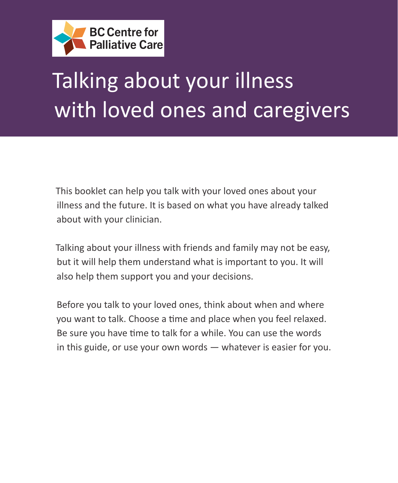

# Talking about your illness with loved ones and caregivers

This booklet can help you talk with your loved ones about your illness and the future. It is based on what you have already talked about with your clinician.

Talking about your illness with friends and family may not be easy, but it will help them understand what is important to you. It will also help them support you and your decisions.

Before you talk to your loved ones, think about when and where you want to talk. Choose a time and place when you feel relaxed. Be sure you have time to talk for a while. You can use the words in this guide, or use your own words — whatever is easier for you.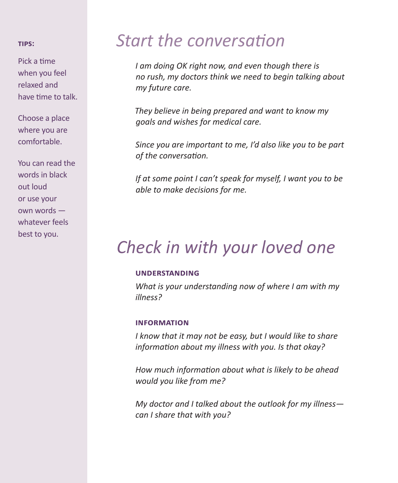#### **TIPS:**

Pick a time when you feel relaxed and have time to talk.

Choose a place where you are comfortable.

You can read the words in black out loud or use your own words whatever feels best to you.

### *Start the conversation*

*I am doing OK right now, and even though there is no rush, my doctors think we need to begin talking about my future care.*

*They believe in being prepared and want to know my goals and wishes for medical care.*

*Since you are important to me, I'd also like you to be part of the conversation.*

*If at some point I can't speak for myself, I want you to be able to make decisions for me.*

# *Check in with your loved one*

#### **understanding**

*What is your understanding now of where I am with my illness?*

#### **information**

*I know that it may not be easy, but I would like to share information about my illness with you. Is that okay?*

*How much information about what is likely to be ahead would you like from me?*

*My doctor and I talked about the outlook for my illness can I share that with you?*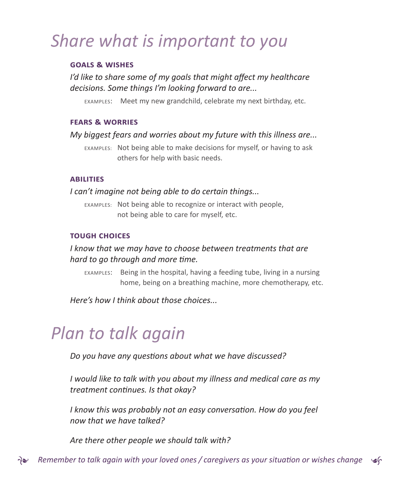# *Share what is important to you*

#### **goals & wishes**

### *I'd like to share some of my goals that might affect my healthcare decisions. Some things I'm looking forward to are...*

EXAMPLES: Meet my new grandchild, celebrate my next birthday, etc.

#### **fears & worries**

#### *My biggest fears and worries about my future with this illness are...*

EXAMPLES: Not being able to make decisions for myself, or having to ask others for help with basic needs.

#### **abilities**

#### *I can't imagine not being able to do certain things...*

EXAMPLES: Not being able to recognize or interact with people, not being able to care for myself, etc.

#### **tough choices**

### *I know that we may have to choose between treatments that are hard to go through and more time.*

EXAMPLES: Being in the hospital, having a feeding tube, living in a nursing home, being on a breathing machine, more chemotherapy, etc.

*Here's how I think about those choices...*

### *Plan to talk again*

*Do you have any questions about what we have discussed?*

*I would like to talk with you about my illness and medical care as my treatment continues. Is that okay?*

*I know this was probably not an easy conversation. How do you feel now that we have talked?*

*Are there other people we should talk with?*